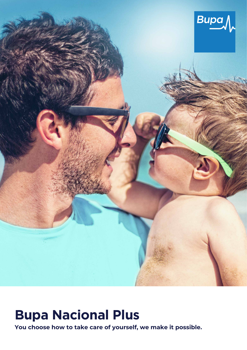

# **Bupa Nacional Plus**

**You choose how to take care of yourself, we make it possible.**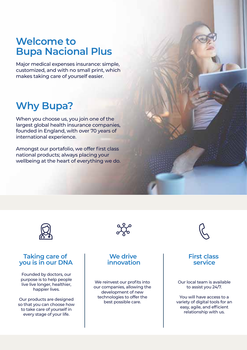# **Welcome to Bupa Nacional Plus**

Major medical expenses insurance: simple, customized, and with no small print, which makes taking care of yourself easier.

# **Why Bupa?**

When you choose us, you join one of the largest global health insurance companies, founded in England, with over 70 years of international experience.

Amongst our portafolio, we offer first class national products; always placing your wellbeing at the heart of everything we do.



### **Taking care of you is in our DNA**

Founded by doctors, our purpose is to help people live live longer, healthier, happier lives.

Our products are designed so that you can choose how to take care of yourself in every stage of your life.



### **We drive innovation**

We reinvest our profits into our companies, allowing the development of new technologies to offer the best possible care.



### **First class service**

#### Our local team is available to assist you 24/7.

You will have access to a variety of digital tools for an easy, agile, and efficient relationship with us.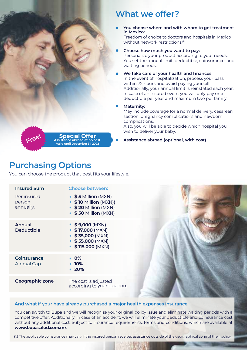## **What we offer?**

- **You choose where and with whom to get treatment in Mexico:**  Freedom of choice to doctors and hospitals in Mexico without network restriccions.<sup>(1)</sup>
- **Choose how much you want to pay:**  Personalize your product according to your needs. You set the annual limit, deductible, coinsurance, and waiting periods.
- **We take care of your health and finances:**  In the event of hospitalization, process your pass within 72 hours and avoid paying yourself. Additionally, your annual limit is reinstated each year. In case of an insured event you will only pay one deductible per year and maximum two per family.

#### **Maternity:**

May include coverage for a normal delivery, cesarean section, pregnancy complications and newborn complications.

Also, you will be able to decide which hospital you wish to deliver your baby.

**Assistance abroad (optional, with cost)** 

# **Purchasing Options**

You can choose the product that best fits your lifestyle.

**Special Offer**<br>Assistance abroad at no cost. **Valid until December 31, 2022**

| <b>Insured Sum</b>                  | <b>Choose between:</b>                                                                                           |
|-------------------------------------|------------------------------------------------------------------------------------------------------------------|
| Per insured<br>person,<br>annually. | $\bullet$ \$5 Million (MXN)<br>• \$10 Million (MXN))<br>• \$20 Million (MXN)<br>• \$50 Million (MXN)             |
| Annual<br>Deductible                | $\bullet$ \$9,000 (MXN)<br>$•$ \$17,000 (MXN)<br>$•$ \$35,000 (MXN)<br>$•$ \$55,000 (MXN)<br>$•$ \$115,000 (MXN) |
| Coinsurance<br>Annual Cap.          | <b>0%</b><br><b>10%</b><br>$\bullet$ 20%                                                                         |
| Geographic zone                     | The cost is adjusted<br>according to your location.                                                              |

#### **And what if your have already purchased a major health expenses insurance**

You can switch to Bupa and we will recognize your original policy issue and eliminate waiting periods with a competitive offer. Additionally, in case of an accident, we will eliminate your deductible and coinsurance cost without any additional cost. Subject to insurance requirements, terms and conditions, which are available at **[www.bupasalud.com.mx](http://www.bupasalud.com.mx)**

(1.) The applicable coinsurance may vary if the insured person receives assistance outside of the geographical zone of their policy.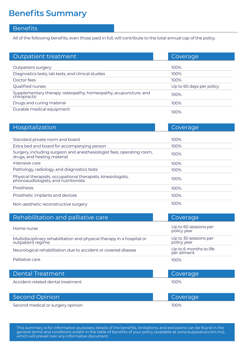# **Benefits Summary**

### Benefits

All of the following benefits, even those paid in full, will contribute to the total annual cap of the policy.

| Outpatient treatment                                                            | Coverage                 |
|---------------------------------------------------------------------------------|--------------------------|
|                                                                                 |                          |
| Outpatient surgery                                                              | 100%                     |
| Diagnostics tests, lab tests, and clinical studies                              | 100%                     |
| Doctor fees                                                                     | 100%                     |
| Qualified nurses                                                                | Up to 60 days per policy |
| Supplementary therapy: osteopathy, homeopathy, acupuncture, and<br>chiropractic | 100%                     |
| Drugs and curing material                                                       | 100%                     |
| Durable medical equipment                                                       | 100%                     |

| <b>Hospitalization</b>                                                                                | Coverage |
|-------------------------------------------------------------------------------------------------------|----------|
|                                                                                                       |          |
| Standard private room and board                                                                       | 100%     |
| Extra bed and board for accompanying person                                                           | 100%     |
| Surgery, including surgeon and anesthesiologist fees, operating room,<br>drugs, and healing material  | 100%     |
| Intensive care                                                                                        | 100%     |
| Pathology, radiology, and diagnostics tests                                                           | 100%     |
| Physical therapists, occupational therapists, kinesiologists,<br>phonoaudiologists, and nutritionists | 100%     |
| Prosthesis                                                                                            | 100%     |
| Prosthetic implants and devices                                                                       | 100%     |
| Non-aesthetic reconstructive surgery                                                                  | 100%     |

| Rehabilitation and palliative care                                                          | Coverage    |                                       |
|---------------------------------------------------------------------------------------------|-------------|---------------------------------------|
| Home nurse                                                                                  |             | Up to 60 sessions per<br>policy year  |
| Multidisciplinary rehabilitation and physical therapy in a hospital or<br>outpatient regime | policy year | Up to 30 sessions per                 |
| Neurological rehabilitation due to accident or covered disease                              |             | Up to 6 months to life<br>per ailment |
| Palliative care                                                                             | 100%        |                                       |

| Dental Treatment                  | Coverage |
|-----------------------------------|----------|
| Accident-related dental treatment | 100%     |
| <b>Second Opinion</b>             | Coverage |

Second medical or surgery opinion 100%

This summary is for information purposes; details of the benefits, limitations, and exclusions can be found in the general terms and conditions and/or in the table of benefits of your policy (available at [www.bupasalud.com.mx\),](http://www.bupasalud.com.mx)  which will prevail over any informative document.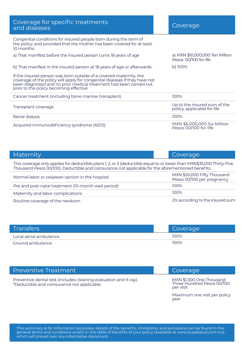| Coverage for specific treatments<br>and diseases                                                                                                                                                                                                                 | Coverage                                                    |
|------------------------------------------------------------------------------------------------------------------------------------------------------------------------------------------------------------------------------------------------------------------|-------------------------------------------------------------|
| Congenital conditions for insured people born during the term of<br>the policy, and provided that the mother has been covered for at least<br>10 months.                                                                                                         |                                                             |
| a) That manifest before the insured person turns 18 years of age                                                                                                                                                                                                 | a) MXN \$10,000,000 Ten Million<br>Pesos 00/100 for life    |
| b) That manifest in the insured person at 18 years of age or afterwards                                                                                                                                                                                          | $b)$ 100%                                                   |
| If the insured person was born outside of a covered maternity, the<br>coverage of the policy will apply for congenital diseases if they have not<br>been diagnosed and no prior medical treatment had been carried out<br>prior to the policy becoming effective |                                                             |
| Cancer treatment (including bone marrow transplant)                                                                                                                                                                                                              | 100%                                                        |
| Transplant coverage                                                                                                                                                                                                                                              | Up to the insured sum of the<br>policy, applicable for life |
| Renal dialysis                                                                                                                                                                                                                                                   | 100%                                                        |
| Acquired immunodeficiency syndrome (AIDS)                                                                                                                                                                                                                        | MXN \$6,000,000 Six Million<br>Pesos 00/100 for life        |

| Maternity                                                                                                                                                                                                                   | Coverage                                                  |  |
|-----------------------------------------------------------------------------------------------------------------------------------------------------------------------------------------------------------------------------|-----------------------------------------------------------|--|
| This coverage only applies for deductible plans 1, 2, or 3 (deductible equal to or lower than MXN\$35,000 Thirty-Five<br>Thousand Pesos 00/100). Deductible and coinsurance not applicable for the aforementioned benefits. |                                                           |  |
| Normal labor or cesarean section in the hospital                                                                                                                                                                            | MXN \$50,000 Fifty Thousand<br>Pesos 00/100 per pregnancy |  |
| Pre and post-natal treatment (10-month wait period)                                                                                                                                                                         | 100%                                                      |  |
| Maternity and labor complications                                                                                                                                                                                           | 100%                                                      |  |
| Routine coverage of the newborn                                                                                                                                                                                             | 2% according to the insured sum                           |  |

| Transfers              | Coverage |
|------------------------|----------|
| Local aerial ambulance | 100%     |
| Ground ambulance       | 100%     |

| <b>Preventive Treatment</b>                                                                                    | Coverage                                                            |
|----------------------------------------------------------------------------------------------------------------|---------------------------------------------------------------------|
| Preventive dental test (includes cleaning evaluation and X-ray).<br>*Deductible and coinsurance not applicable | MXN \$1,300 One Thousand<br>Three Hundred Pesos 00/100<br>per visit |
|                                                                                                                | Maximum one visit per policy<br>year                                |

This summary is for information purposes; details of the benefits, limitations, and exclusions can be found in the general terms and conditions and/or in the table of benefits of your policy (available at [www.bupasalud.com.mx\),](http://www.bupasalud.com.mx)  which will prevail over any informative document.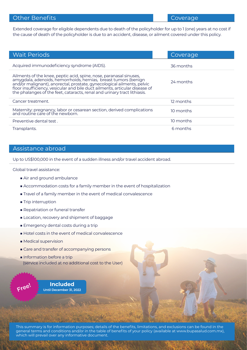### Other Benefits

Extended coverage for eligible dependents due to death of the policyholder for up to 1 (one) years at no cost if the cause of death of the policyholder is due to an accident, disease, or ailment covered under this policy.

| <b>Wait Periods</b>                                                                                                                                                                                                                                                                                                                                                        | Coverage  |
|----------------------------------------------------------------------------------------------------------------------------------------------------------------------------------------------------------------------------------------------------------------------------------------------------------------------------------------------------------------------------|-----------|
| Acquired immunodeficiency syndrome (AIDS).                                                                                                                                                                                                                                                                                                                                 | 36 months |
| Ailments of the knee, peptic acid, spine, nose, paranasal sinuses,<br>amygdala, adenoids, hemorrhoids, hernias, breast tumors (benign<br>and/or malignant), anorectal, prostate, gynecological ailments, pelvic<br>floor insufficiency, vesicular and bile duct ailments, articular disease of<br>the phalanges of the feet, cataracts, renal and urinary tract lithiasis. | 24 months |
| Cancer treatment.                                                                                                                                                                                                                                                                                                                                                          | 12 months |
| Maternity: pregnancy, labor or cesarean section, derived complications<br>and routine care of the newborn.                                                                                                                                                                                                                                                                 | 10 months |
| Preventive dental test.                                                                                                                                                                                                                                                                                                                                                    | 10 months |
| Transplants.                                                                                                                                                                                                                                                                                                                                                               | 6 months  |

#### Assistance abroad

Up to US\$100,000 in the event of a sudden illness and/or travel accident abroad.

Global travel assistance:

- Air and ground ambulance
- Accommodation costs for a family member in the event of hospitalization
- Travel of a family member in the event of medical convalescence
- Trip interruption
- Repatriation or funeral transfer
- Location, recovery and shipment of baggage
- Emergency dental costs during a trip
- Hotel costs in the event of medical convalescence
- Medical supervision
- Care and transfer of accompanying persons
- Information before a trip (service included at no additional cost to the User)

**Included** Free! **Until December 31, 2022**

This summary is for information purposes; details of the benefits, limitations, and exclusions can be found in the general terms and conditions and/or in the table of benefits of your policy (available at [www.bupasalud.com.mx\),](http://www.bupasalud.com.mx)  which will prevail over any informative document.